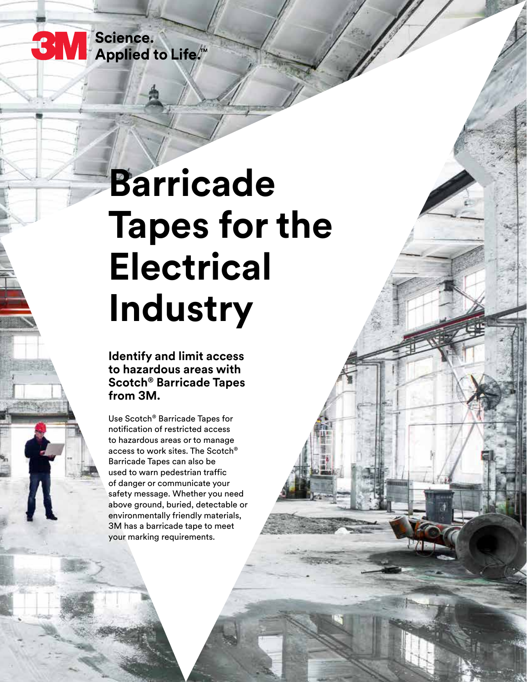**3 M** Science.<br>Applied to Life.<sup>\*\*</sup>

# **Barricade Tapes for the Electrical Industry**

**Identify and limit access to hazardous areas with Scotch® Barricade Tapes from 3M.**

Use Scotch® Barricade Tapes for notification of restricted access to hazardous areas or to manage access to work sites. The Scotch® Barricade Tapes can also be used to warn pedestrian traffic of danger or communicate your safety message. Whether you need above ground, buried, detectable or environmentally friendly materials, 3M has a barricade tape to meet your marking requirements.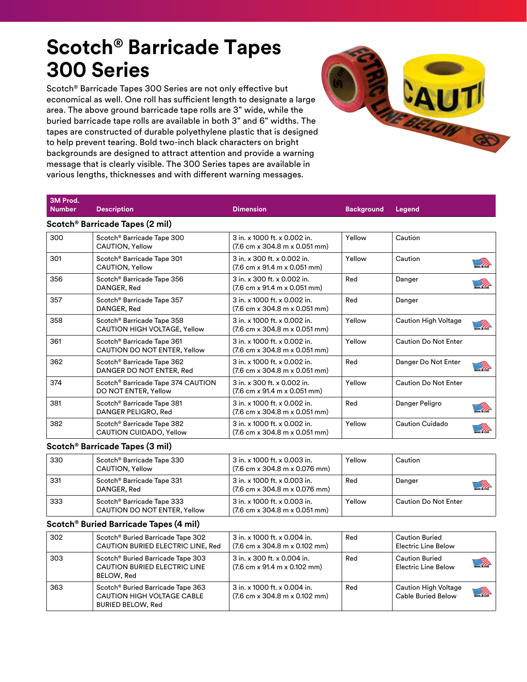### **Scotch® Barricade Tapes 300 Series**

Scotch® Barricade Tapes 300 Series are not only effective but economical as well. One roll has sufficient length to designate a large area. The above ground barricade tape rolls are 3" wide, while the buried barricade tape rolls are available in both 3" and 6" widths. The tapes are constructed of durable polyethylene plastic that is designed to help prevent tearing. Bold two-inch black characters on bright backgrounds are designed to attract attention and provide a warning message that is clearly visible. The 300 Series tapes are available in various lengths, thicknesses and with different warning messages.



| 3M Prod.<br><b>Number</b> | <b>Description</b>                                                     | <b>Dimension</b>                                                                                  | <b>Background</b> | Legend                                    |  |
|---------------------------|------------------------------------------------------------------------|---------------------------------------------------------------------------------------------------|-------------------|-------------------------------------------|--|
|                           | Scotch <sup>®</sup> Barricade Tapes (2 mil)                            |                                                                                                   |                   |                                           |  |
| 300                       | Scotch <sup>®</sup> Barricade Tape 300<br>CAUTION, Yellow              | 3 in. x 1000 ft. x 0.002 in.<br>$(7.6 \text{ cm} \times 304.8 \text{ m} \times 0.051 \text{ mm})$ | Yellow            | Caution                                   |  |
| 301                       | Scotch® Barricade Tape 301<br>CAUTION, Yellow                          | 3 in. x 300 ft. x 0.002 in.<br>$(7.6 \text{ cm} \times 91.4 \text{ m} \times 0.051 \text{ mm})$   | Yellow            | Caution                                   |  |
| 356                       | Scotch <sup>®</sup> Barricade Tape 356<br>DANGER, Red                  | 3 in. x 300 ft. x 0.002 in.<br>$(7.6 \text{ cm} \times 91.4 \text{ m} \times 0.051 \text{ mm})$   | Red               | Danger                                    |  |
| 357                       | Scotch® Barricade Tape 357<br>DANGER, Red                              | 3 in. x 1000 ft. x 0.002 in.<br>$(7.6 \text{ cm} \times 304.8 \text{ m} \times 0.051 \text{ mm})$ | Red               | Danger                                    |  |
| 358                       | Scotch® Barricade Tape 358<br>CAUTION HIGH VOLTAGE, Yellow             | 3 in. x 1000 ft. x 0.002 in.<br>(7.6 cm x 304.8 m x 0.051 mm)                                     | Yellow            | <b>Caution High Voltage</b><br><u> Ta</u> |  |
| 361                       | Scotch <sup>®</sup> Barricade Tape 361<br>CAUTION DO NOT ENTER, Yellow | 3 in. x 1000 ft. x 0.002 in.<br>$(7.6 \text{ cm} \times 304.8 \text{ m} \times 0.051 \text{ mm})$ | Yellow            | <b>Caution Do Not Enter</b>               |  |
| 362                       | Scotch® Barricade Tape 362<br>DANGER DO NOT ENTER, Red                 | 3 in. x 1000 ft. x 0.002 in.<br>$(7.6 \text{ cm} \times 304.8 \text{ m} \times 0.051 \text{ mm})$ | Red               | Danger Do Not Enter<br>Ita                |  |
| 374                       | Scotch <sup>®</sup> Barricade Tape 374 CAUTION<br>DO NOT ENTER, Yellow | 3 in. x 300 ft. x 0.002 in.<br>$(7.6 \text{ cm} \times 91.4 \text{ m} \times 0.051 \text{ mm})$   | Yellow            | <b>Caution Do Not Enter</b>               |  |
| 381                       | Scotch <sup>®</sup> Barricade Tape 381<br>DANGER PELIGRO, Red          | 3 in. x 1000 ft. x 0.002 in.<br>$(7.6 \text{ cm} \times 304.8 \text{ m} \times 0.051 \text{ mm})$ | Red               | Danger Peligro                            |  |
| 382                       | Scotch® Barricade Tape 382<br>CAUTION CUIDADO, Yellow                  | 3 in. x 1000 ft. x 0.002 in.<br>$(7.6 \text{ cm} \times 304.8 \text{ m} \times 0.051 \text{ mm})$ | Yellow            | <b>Caution Cuidado</b><br><u> Ta</u>      |  |
|                           | Scotch® Barricade Tapes (3 mil)                                        |                                                                                                   |                   |                                           |  |
| 330                       | Scotch® Barricade Tape 330<br>CAUTION, Yellow                          | 3 in. x 1000 ft. x 0.003 in.<br>$(7.6 \text{ cm} \times 304.8 \text{ m} \times 0.076 \text{ mm})$ | Yellow            | Caution                                   |  |

|     | CAUTION, Yellow                                                        | $(7.6 \text{ cm} \times 304.8 \text{ m} \times 0.076 \text{ mm})$                                 |        |                             |                |
|-----|------------------------------------------------------------------------|---------------------------------------------------------------------------------------------------|--------|-----------------------------|----------------|
| 331 | Scotch <sup>®</sup> Barricade Tape 331<br>DANGER, Red                  | 3 in. x 1000 ft. x 0.003 in.<br>$(7.6 \text{ cm} \times 304.8 \text{ m} \times 0.076 \text{ mm})$ | Red    | Danger                      | <b>Service</b> |
| 333 | Scotch <sup>®</sup> Barricade Tape 333<br>CAUTION DO NOT ENTER, Yellow | 3 in. x 1000 ft. x 0.003 in.<br>$(7.6 \text{ cm} \times 304.8 \text{ m} \times 0.051 \text{ mm})$ | Yellow | <b>Caution Do Not Enter</b> |                |

#### **Scotch® Buried Barricade Tapes (4 mil)**

| 302 | Scotch <sup>®</sup> Buried Barricade Tape 302<br>CAUTION BURIED ELECTRIC LINE, Red                      | 3 in. x 1000 ft. x 0.004 in.<br>$(7.6 \text{ cm} \times 304.8 \text{ m} \times 0.102 \text{ mm})$ | Red | <b>Caution Buried</b><br><b>Electric Line Below</b> |            |
|-----|---------------------------------------------------------------------------------------------------------|---------------------------------------------------------------------------------------------------|-----|-----------------------------------------------------|------------|
| 303 | Scotch <sup>®</sup> Buried Barricade Tape 303<br><b>CAUTION BURIED ELECTRIC LINE</b><br>BELOW. Red      | 3 in. x 300 ft. x 0.004 in.<br>$(7.6 \text{ cm} \times 91.4 \text{ m} \times 0.102 \text{ mm})$   | Red | <b>Caution Buried</b><br>Electric Line Below        | <u> Sa</u> |
| 363 | Scotch <sup>®</sup> Buried Barricade Tape 363<br>CAUTION HIGH VOLTAGE CABLE<br><b>BURIED BELOW, Red</b> | 3 in. x 1000 ft. x 0.004 in.<br>$(7.6 \text{ cm} \times 304.8 \text{ m} \times 0.102 \text{ mm})$ | Red | Caution High Voltage<br>Cable Buried Below          | <b>MA</b>  |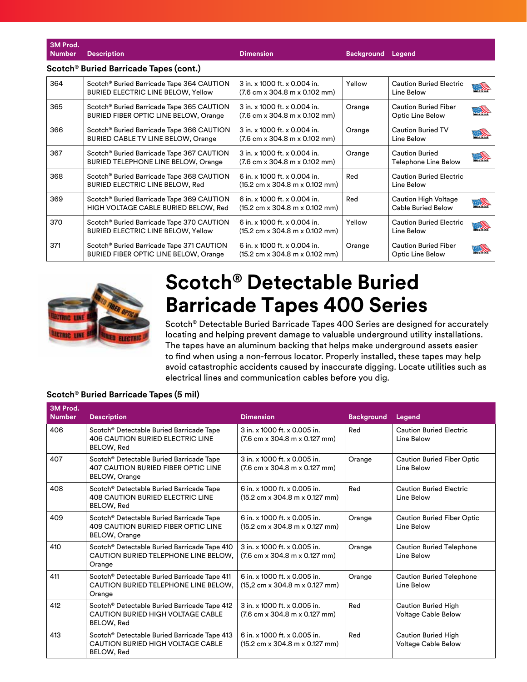| 3M Prod.<br><b>Number</b>                          | <b>Description</b>                                                                                 | <b>Dimension</b>                                                                                   | <b>Background</b> | Legend                                            |                         |  |  |
|----------------------------------------------------|----------------------------------------------------------------------------------------------------|----------------------------------------------------------------------------------------------------|-------------------|---------------------------------------------------|-------------------------|--|--|
| Scotch <sup>®</sup> Buried Barricade Tapes (cont.) |                                                                                                    |                                                                                                    |                   |                                                   |                         |  |  |
| 364                                                | Scotch® Buried Barricade Tape 364 CAUTION<br><b>BURIED ELECTRIC LINE BELOW, Yellow</b>             | 3 in. x 1000 ft. x 0.004 in.<br>$(7.6 \text{ cm} \times 304.8 \text{ m} \times 0.102 \text{ mm})$  | Yellow            | <b>Caution Buried Electric</b><br>Line Below      | <u> Ta</u>              |  |  |
| 365                                                | Scotch® Buried Barricade Tape 365 CAUTION<br>BURIED FIBER OPTIC LINE BELOW, Orange                 | 3 in. x 1000 ft. x 0.004 in.<br>(7.6 cm x 304.8 m x 0.102 mm)                                      | Orange            | <b>Caution Buried Fiber</b><br>Optic Line Below   | <b>SARGER</b>           |  |  |
| 366                                                | Scotch <sup>®</sup> Buried Barricade Tape 366 CAUTION<br><b>BURIED CABLE TV LINE BELOW, Orange</b> | 3 in. x 1000 ft. x 0.004 in.<br>$(7.6 \text{ cm} \times 304.8 \text{ m} \times 0.102 \text{ mm})$  | Orange            | <b>Caution Buried TV</b><br>Line Below            |                         |  |  |
| 367                                                | Scotch® Buried Barricade Tape 367 CAUTION<br><b>BURIED TELEPHONE LINE BELOW, Orange</b>            | 3 in. x 1000 ft. x 0.004 in.<br>$(7.6 \text{ cm} \times 304.8 \text{ m} \times 0.102 \text{ mm})$  | Orange            | <b>Caution Buried</b><br>Telephone Line Below     | $\mathscr{D}$           |  |  |
| 368                                                | Scotch® Buried Barricade Tape 368 CAUTION<br><b>BURIED ELECTRIC LINE BELOW, Red</b>                | 6 in. x 1000 ft. x 0.004 in.<br>$(15.2 \text{ cm} \times 304.8 \text{ m} \times 0.102 \text{ mm})$ | Red               | <b>Caution Buried Electric</b><br>Line Below      |                         |  |  |
| 369                                                | Scotch® Buried Barricade Tape 369 CAUTION<br>HIGH VOLTAGE CABLE BURIED BELOW, Red                  | 6 in. x 1000 ft. x 0.004 in.<br>$(15.2 \text{ cm} \times 304.8 \text{ m} \times 0.102 \text{ mm})$ | Red               | Caution High Voltage<br><b>Cable Buried Below</b> | $\widehat{\mathscr{D}}$ |  |  |
| 370                                                | Scotch <sup>®</sup> Buried Barricade Tape 370 CAUTION<br><b>BURIED ELECTRIC LINE BELOW, Yellow</b> | 6 in. x 1000 ft. x 0.004 in.<br>$(15.2 \text{ cm} \times 304.8 \text{ m} \times 0.102 \text{ mm})$ | Yellow            | <b>Caution Buried Electric</b><br>Line Below      | <u>a Ta</u>             |  |  |
| 371                                                | Scotch® Buried Barricade Tape 371 CAUTION<br>BURIED FIBER OPTIC LINE BELOW, Orange                 | 6 in. x 1000 ft. x 0.004 in.<br>$(15.2 \text{ cm} \times 304.8 \text{ m} \times 0.102 \text{ mm})$ | Orange            | <b>Caution Buried Fiber</b><br>Optic Line Below   | $\sqrt{2}$              |  |  |



# **Scotch® Detectable Buried Barricade Tapes 400 Series**

Scotch® Detectable Buried Barricade Tapes 400 Series are designed for accurately locating and helping prevent damage to valuable underground utility installations. The tapes have an aluminum backing that helps make underground assets easier to find when using a non-ferrous locator. Properly installed, these tapes may help avoid catastrophic accidents caused by inaccurate digging. Locate utilities such as electrical lines and communication cables before you dig.

### **Scotch® Buried Barricade Tapes (5 mil)**

| 3M Prod.<br><b>Number</b> | <b>Description</b>                                                                                                         | <b>Dimension</b>                                                                                    | <b>Background</b> | Legend                                                   |
|---------------------------|----------------------------------------------------------------------------------------------------------------------------|-----------------------------------------------------------------------------------------------------|-------------------|----------------------------------------------------------|
| 406                       | Scotch <sup>®</sup> Detectable Buried Barricade Tape<br><b>406 CAUTION BURIED ELECTRIC LINE</b><br>BELOW, Red              | 3 in. x 1000 ft. x 0.005 in.<br>$(7.6 \text{ cm} \times 304.8 \text{ m} \times 0.127 \text{ mm})$   | Red               | <b>Caution Buried Electric</b><br>Line Below             |
| 407                       | Scotch <sup>®</sup> Detectable Buried Barricade Tape<br><b>407 CAUTION BURIED FIBER OPTIC LINE</b><br><b>BELOW, Orange</b> | $3$ in. x 1000 ft. x 0.005 in.<br>$(7.6 \text{ cm} \times 304.8 \text{ m} \times 0.127 \text{ mm})$ | Orange            | <b>Caution Buried Fiber Optic</b><br>Line Below          |
| 408                       | Scotch <sup>®</sup> Detectable Buried Barricade Tape<br><b>408 CAUTION BURIED ELECTRIC LINE</b><br>BELOW, Red              | 6 in. x 1000 ft. x 0.005 in.<br>$(15.2 \text{ cm} \times 304.8 \text{ m} \times 0.127 \text{ mm})$  | Red               | <b>Caution Buried Electric</b><br>Line Below             |
| 409                       | Scotch® Detectable Buried Barricade Tape<br>409 CAUTION BURIED FIBER OPTIC LINE<br><b>BELOW, Orange</b>                    | 6 in. x 1000 ft. x 0.005 in.<br>$(15.2 \text{ cm} \times 304.8 \text{ m} \times 0.127 \text{ mm})$  | Orange            | <b>Caution Buried Fiber Optic</b><br>Line Below          |
| 410                       | Scotch <sup>®</sup> Detectable Buried Barricade Tape 410<br>CAUTION BURIED TELEPHONE LINE BELOW,<br>Orange                 | 3 in. x 1000 ft. x 0.005 in.<br>$(7.6 \text{ cm} \times 304.8 \text{ m} \times 0.127 \text{ mm})$   | Orange            | <b>Caution Buried Telephone</b><br>Line Below            |
| 411                       | Scotch <sup>®</sup> Detectable Buried Barricade Tape 411<br>CAUTION BURIED TELEPHONE LINE BELOW.<br>Orange                 | 6 in. x 1000 ft. x 0.005 in.<br>$(15.2 \text{ cm} \times 304.8 \text{ m} \times 0.127 \text{ mm})$  | Orange            | <b>Caution Buried Telephone</b><br>Line Below            |
| 412                       | Scotch <sup>®</sup> Detectable Buried Barricade Tape 412<br>CAUTION BURIED HIGH VOLTAGE CABLE<br><b>BELOW, Red</b>         | 3 in. x 1000 ft. x 0.005 in.<br>$(7.6 \text{ cm} \times 304.8 \text{ m} \times 0.127 \text{ mm})$   | Red               | <b>Caution Buried High</b><br>Voltage Cable Below        |
| 413                       | Scotch <sup>®</sup> Detectable Buried Barricade Tape 413<br>CAUTION BURIED HIGH VOLTAGE CABLE<br><b>BELOW, Red</b>         | 6 in. x 1000 ft. x 0.005 in.<br>$(15.2 \text{ cm} \times 304.8 \text{ m} \times 0.127 \text{ mm})$  | Red               | <b>Caution Buried High</b><br><b>Voltage Cable Below</b> |